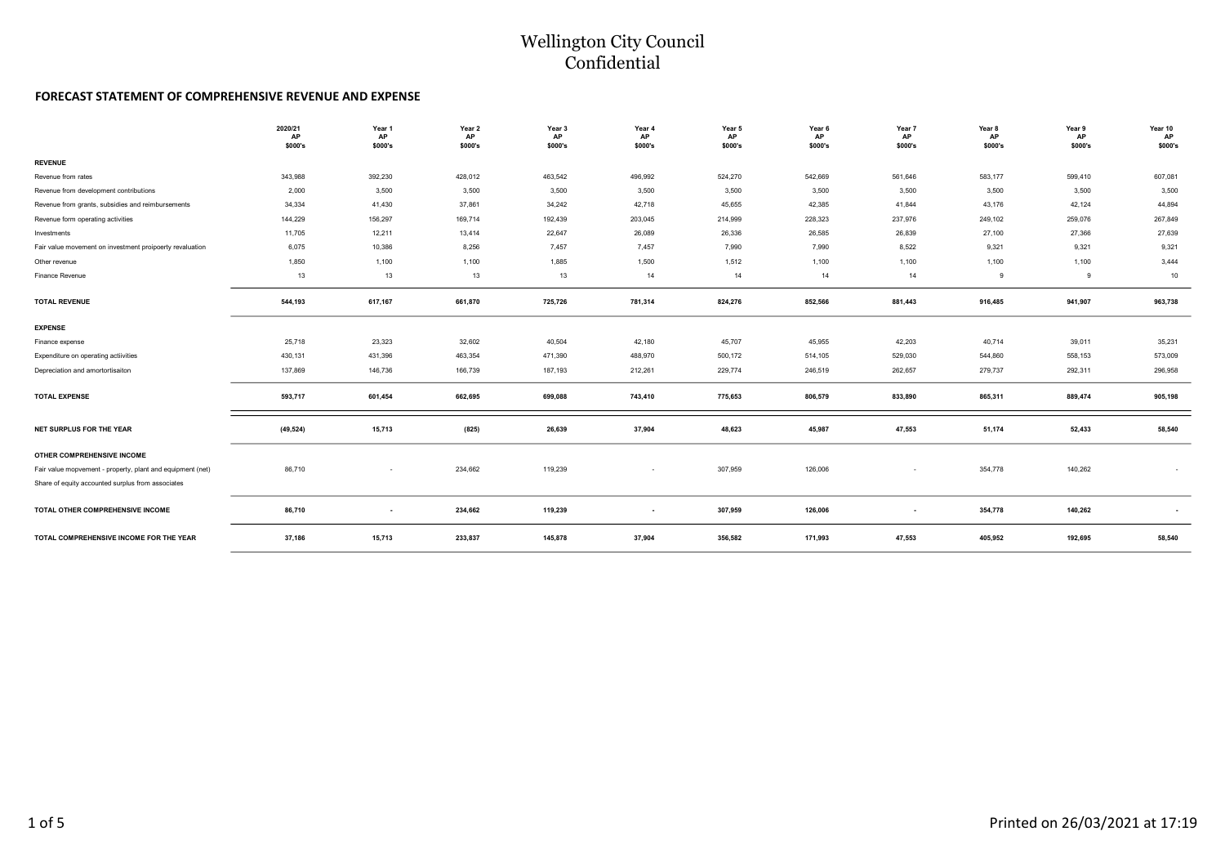#### Wellington City Council Confidential

#### FORECAST STATEMENT OF COMPREHENSIVE REVENUE AND EXPENSE

|                                                            | 2020/21<br>AP<br>\$000's | Year 1<br>AP<br>\$000's | Year 2<br>AP<br>\$000's | Year 3<br><b>AP</b><br>\$000's | Year 4<br>AP<br>\$000's | Year 5<br>AP<br>\$000's | Year 6<br>AP<br>\$000's | Year 7<br>AP<br>\$000's | Year 8<br>AP<br>\$000's | Year 9<br><b>AP</b><br>\$000's | Year 10<br>AP<br>\$000's |
|------------------------------------------------------------|--------------------------|-------------------------|-------------------------|--------------------------------|-------------------------|-------------------------|-------------------------|-------------------------|-------------------------|--------------------------------|--------------------------|
| <b>REVENUE</b>                                             |                          |                         |                         |                                |                         |                         |                         |                         |                         |                                |                          |
| Revenue from rates                                         | 343,988                  | 392,230                 | 428,012                 | 463,542                        | 496,992                 | 524,270                 | 542,669                 | 561,646                 | 583,177                 | 599,410                        | 607,081                  |
| Revenue from development contributions                     | 2,000                    | 3,500                   | 3,500                   | 3,500                          | 3,500                   | 3,500                   | 3,500                   | 3,500                   | 3,500                   | 3,500                          | 3,500                    |
| Revenue from grants, subsidies and reimbursements          | 34,334                   | 41,430                  | 37,861                  | 34,242                         | 42,718                  | 45,655                  | 42,385                  | 41,844                  | 43,176                  | 42,124                         | 44,894                   |
| Revenue form operating activities                          | 144,229                  | 156,297                 | 169,714                 | 192,439                        | 203,045                 | 214,999                 | 228,323                 | 237,976                 | 249,102                 | 259,076                        | 267,849                  |
| Investments                                                | 11,705                   | 12,211                  | 13,414                  | 22,647                         | 26,089                  | 26,336                  | 26,585                  | 26,839                  | 27,100                  | 27,366                         | 27,639                   |
| Fair value movement on investment proipoerty revaluation   | 6,075                    | 10,386                  | 8,256                   | 7,457                          | 7,457                   | 7,990                   | 7,990                   | 8,522                   | 9,321                   | 9,321                          | 9,321                    |
| Other revenue                                              | 1,850                    | 1,100                   | 1,100                   | 1,885                          | 1,500                   | 1,512                   | 1,100                   | 1,100                   | 1,100                   | 1,100                          | 3,444                    |
| Finance Revenue                                            | 13                       | 13                      | 13                      | 13                             | 14                      | 14                      | 14                      | 14                      | 9                       | 9                              | 10                       |
| <b>TOTAL REVENUE</b>                                       | 544,193                  | 617,167                 | 661,870                 | 725,726                        | 781,314                 | 824,276                 | 852,566                 | 881,443                 | 916,485                 | 941,907                        | 963,738                  |
| <b>EXPENSE</b>                                             |                          |                         |                         |                                |                         |                         |                         |                         |                         |                                |                          |
| Finance expense                                            | 25,718                   | 23,323                  | 32,602                  | 40,504                         | 42,180                  | 45,707                  | 45,955                  | 42,203                  | 40,714                  | 39,011                         | 35,231                   |
| Expenditure on operating actiivities                       | 430,131                  | 431,396                 | 463,354                 | 471,390                        | 488,970                 | 500,172                 | 514,105                 | 529,030                 | 544,860                 | 558,153                        | 573,009                  |
| Depreciation and amortortisaiton                           | 137,869                  | 146,736                 | 166,739                 | 187,193                        | 212,261                 | 229,774                 | 246,519                 | 262,657                 | 279,737                 | 292,311                        | 296,958                  |
| <b>TOTAL EXPENSE</b>                                       | 593,717                  | 601,454                 | 662,695                 | 699,088                        | 743,410                 | 775,653                 | 806,579                 | 833,890                 | 865,311                 | 889,474                        | 905,198                  |
| NET SURPLUS FOR THE YEAR                                   | (49, 524)                | 15,713                  | (825)                   | 26,639                         | 37,904                  | 48,623                  | 45,987                  | 47,553                  | 51,174                  | 52,433                         | 58,540                   |
| OTHER COMPREHENSIVE INCOME                                 |                          |                         |                         |                                |                         |                         |                         |                         |                         |                                |                          |
| Fair value mopvement - property, plant and equipment (net) | 86,710                   |                         | 234,662                 | 119,239                        | $\sim$                  | 307,959                 | 126,006                 | $\sim$                  | 354,778                 | 140,262                        | ٠                        |
| Share of equity accounted surplus from associates          |                          |                         |                         |                                |                         |                         |                         |                         |                         |                                |                          |
| TOTAL OTHER COMPREHENSIVE INCOME                           | 86,710                   | $\sim$                  | 234,662                 | 119,239                        | $\sim$                  | 307,959                 | 126,006                 | ۰.                      | 354,778                 | 140,262                        |                          |
| TOTAL COMPREHENSIVE INCOME FOR THE YEAR                    | 37,186                   | 15,713                  | 233,837                 | 145,878                        | 37,904                  | 356,582                 | 171,993                 | 47,553                  | 405,952                 | 192,695                        | 58,540                   |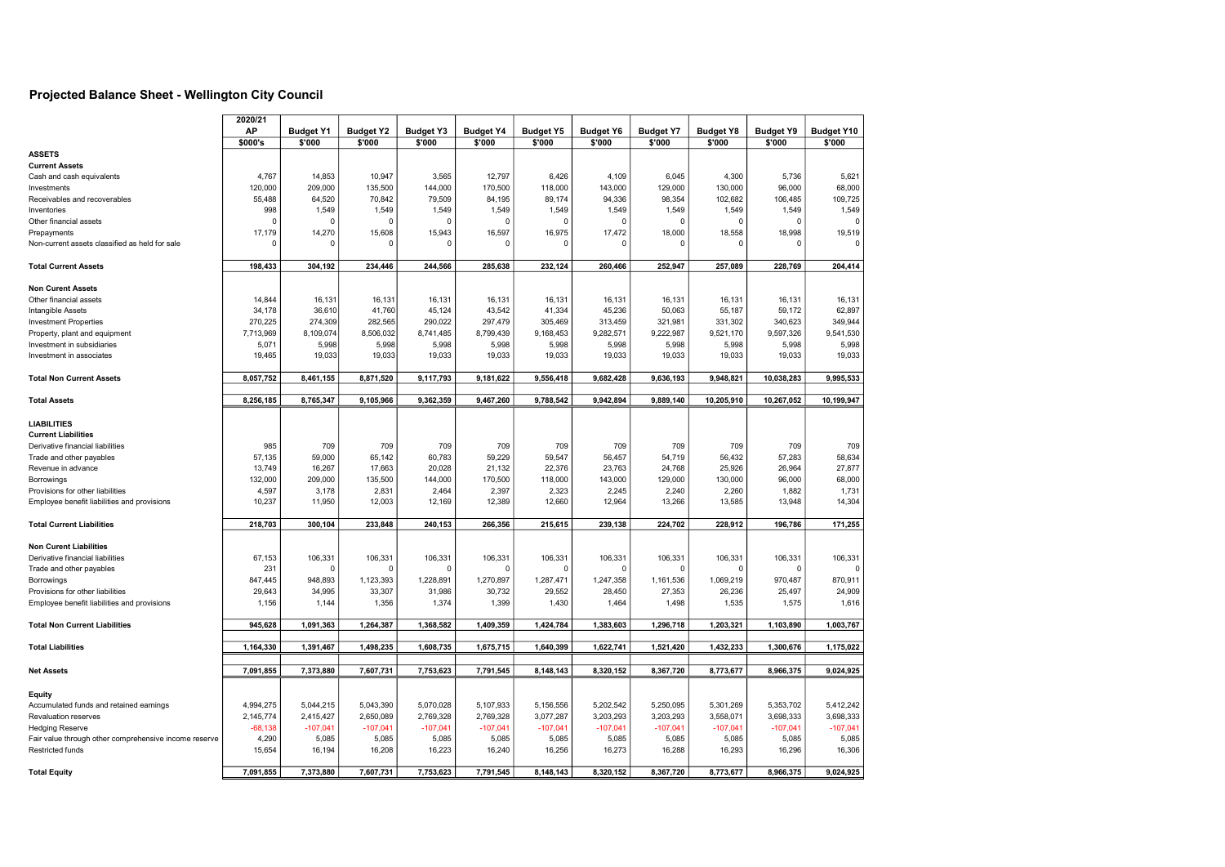#### Projected Balance Sheet - Wellington City Council

|                                                       | 2020/21<br>AP     | <b>Budget Y1</b> | <b>Budget Y2</b>  | <b>Budget Y3</b>  | <b>Budget Y4</b>  | <b>Budget Y5</b> | <b>Budget Y6</b> | <b>Budget Y7</b>  | <b>Budget Y8</b>  | <b>Budget Y9</b> | <b>Budget Y10</b> |
|-------------------------------------------------------|-------------------|------------------|-------------------|-------------------|-------------------|------------------|------------------|-------------------|-------------------|------------------|-------------------|
|                                                       | \$000's           | \$'000           | \$'000            | \$'000            | \$'000            | \$'000           | \$'000           | \$'000            | \$'000            | \$'000           | \$'000            |
| <b>ASSETS</b>                                         |                   |                  |                   |                   |                   |                  |                  |                   |                   |                  |                   |
| <b>Current Assets</b>                                 |                   |                  |                   |                   |                   |                  |                  |                   |                   |                  |                   |
| Cash and cash equivalents                             | 4,767             | 14,853           | 10,947            | 3,565             | 12,797            | 6,426            | 4,109            | 6,045             | 4,300             | 5,736            | 5,621             |
| Investments                                           | 120,000           | 209,000          | 135,500           | 144,000           | 170,500           | 118,000          | 143,000          | 129,000           | 130,000           | 96,000           | 68,000            |
| Receivables and recoverables                          | 55,488            | 64,520           | 70,842            | 79,509            | 84,195            | 89,174           | 94,336           | 98,354            | 102,682           | 106,485          | 109,725           |
| Inventories                                           | 998               | 1,549            | 1,549             | 1,549             | 1,549             | 1,549            | 1,549            | 1,549             | 1,549             | 1,549            | 1,549             |
| Other financial assets                                |                   | $\Omega$         | $\Omega$          | $\Omega$          | $\Omega$          |                  |                  | $\Omega$          |                   |                  |                   |
| Prepayments                                           | 17,179            | 14,270           | 15,608            | 15,943            | 16,597            | 16,975           | 17,472           | 18,000            | 18,558            | 18,998           | 19,519            |
| Non-current assets classified as held for sale        | $\Omega$          | $\Omega$         | $\Omega$          | $\Omega$          | $\Omega$          | $\Omega$         | $\mathfrak{c}$   | 0                 | $\Omega$          | $\Omega$         | $\Omega$          |
|                                                       |                   |                  |                   |                   |                   |                  |                  |                   |                   |                  |                   |
| <b>Total Current Assets</b>                           | 198,433           | 304,192          | 234,446           | 244,566           | 285,638           | 232,124          | 260,466          | 252,947           | 257,089           | 228,769          | 204,414           |
|                                                       |                   |                  |                   |                   |                   |                  |                  |                   |                   |                  |                   |
| <b>Non Curent Assets</b>                              |                   |                  |                   |                   |                   |                  |                  |                   |                   |                  |                   |
| Other financial assets                                | 14,844            | 16,131           | 16,131            | 16,131            | 16,131            | 16,131           | 16,131           | 16,131            | 16,131            | 16,131           | 16,131            |
| Intangible Assets                                     | 34,178            | 36,610           | 41,760            | 45,124            | 43,542            | 41,334           | 45,236           | 50,063            | 55,187            | 59,172           | 62,897            |
| <b>Investment Properties</b>                          | 270,225           | 274,309          | 282,565           | 290,022           | 297,479           | 305,469          | 313,459          | 321,981           | 331,302           | 340,623          | 349,944           |
| Property, plant and equipment                         | 7,713,969         | 8,109,074        | 8,506,032         | 8,741,485         | 8,799,439         | 9,168,453        | 9,282,571        | 9,222,987         | 9,521,170         | 9,597,326        | 9,541,530         |
| Investment in subsidiaries                            | 5,071             | 5,998            | 5,998             | 5,998             | 5,998             | 5,998            | 5,998            | 5,998             | 5,998             | 5,998            | 5,998             |
| Investment in associates                              | 19,465            | 19,033           | 19,033            | 19,033            | 19,033            | 19,033           | 19,033           | 19,033            | 19,033            | 19,033           | 19,033            |
|                                                       |                   |                  |                   |                   |                   |                  |                  |                   |                   |                  |                   |
| <b>Total Non Current Assets</b>                       | 8,057,752         | 8,461,155        | 8,871,520         | 9,117,793         | 9,181,622         | 9,556,418        | 9,682,428        | 9,636,193         | 9,948,821         | 10,038,283       | 9,995,533         |
|                                                       |                   |                  |                   |                   |                   |                  |                  |                   |                   |                  |                   |
| <b>Total Assets</b>                                   | 8,256,185         | 8,765,347        | 9,105,966         | 9,362,359         | 9,467,260         | 9,788,542        | 9,942,894        | 9,889,140         | 10,205,910        | 10,267,052       | 10,199,947        |
| <b>LIABILITIES</b>                                    |                   |                  |                   |                   |                   |                  |                  |                   |                   |                  |                   |
| <b>Current Liabilities</b>                            |                   |                  |                   |                   |                   |                  |                  |                   |                   |                  |                   |
| Derivative financial liabilities                      | 985               |                  |                   |                   | 709               |                  |                  |                   | 709               | 709              | 709               |
| Trade and other payables                              | 57,135            | 709<br>59,000    | 709<br>65,142     | 709<br>60,783     | 59,229            | 709<br>59,547    | 709<br>56,457    | 709<br>54,719     | 56,432            | 57,283           | 58,634            |
|                                                       |                   |                  |                   |                   |                   |                  |                  |                   |                   |                  |                   |
| Revenue in advance                                    | 13,749<br>132,000 | 16,267           | 17,663<br>135,500 | 20,028<br>144,000 | 21,132<br>170,500 | 22,376           | 23,763           | 24,768<br>129,000 | 25,926<br>130,000 | 26,964           | 27,877<br>68,000  |
| Borrowings                                            |                   | 209,000          |                   |                   |                   | 118,000          | 143,000          |                   |                   | 96,000           |                   |
| Provisions for other liabilities                      | 4,597             | 3,178            | 2,831             | 2,464             | 2,397             | 2,323            | 2,245            | 2,240             | 2,260             | 1,882            | 1,731             |
| Employee benefit liabilities and provisions           | 10,237            | 11,950           | 12,003            | 12,169            | 12,389            | 12,660           | 12,964           | 13,266            | 13,585            | 13,948           | 14,304            |
| <b>Total Current Liabilities</b>                      | 218,703           | 300,104          | 233,848           | 240,153           | 266,356           | 215,615          | 239,138          | 224.702           | 228,912           | 196,786          | 171,255           |
|                                                       |                   |                  |                   |                   |                   |                  |                  |                   |                   |                  |                   |
| <b>Non Curent Liabilities</b>                         |                   |                  |                   |                   |                   |                  |                  |                   |                   |                  |                   |
| Derivative financial liabilities                      | 67,153            | 106,331          | 106,331           | 106,331           | 106,331           | 106,331          | 106,331          | 106,331           | 106,331           | 106,331          | 106,331           |
| Trade and other payables                              | 231               |                  | $\Omega$          | $\Omega$          |                   |                  |                  |                   |                   |                  |                   |
| Borrowings                                            | 847,445           | 948,893          | 1,123,393         | 1,228,891         | 1,270,897         | 1,287,471        | 1,247,358        | 1,161,536         | 1,069,219         | 970,487          | 870,911           |
| Provisions for other liabilities                      | 29,643            | 34,995           | 33,307            | 31,986            | 30,732            | 29,552           | 28,450           | 27,353            | 26,236            | 25,497           | 24,909            |
| Employee benefit liabilities and provisions           | 1,156             | 1,144            | 1,356             | 1,374             | 1,399             | 1,430            | 1,464            | 1,498             | 1,535             | 1,575            | 1,616             |
|                                                       |                   |                  |                   |                   |                   |                  |                  |                   |                   |                  |                   |
| <b>Total Non Current Liabilities</b>                  | 945,628           | 1,091,363        | 1,264,387         | 1,368,582         | 1,409,359         | 1,424,784        | 1,383,603        | 1,296,718         | 1,203,321         | 1,103,890        | 1,003,767         |
| <b>Total Liabilities</b>                              | 1,164,330         | 1,391,467        | 1,498,235         | 1,608,735         | 1,675,715         | 1,640,399        | 1,622,741        | 1,521,420         | 1,432,233         | 1,300,676        | 1,175,022         |
|                                                       |                   |                  |                   |                   |                   |                  |                  |                   |                   |                  |                   |
| <b>Net Assets</b>                                     | 7,091,855         | 7,373,880        | 7,607,731         | 7,753,623         | 7,791,545         | 8,148,143        | 8,320,152        | 8,367,720         | 8,773,677         | 8,966,375        | 9,024,925         |
|                                                       |                   |                  |                   |                   |                   |                  |                  |                   |                   |                  |                   |
| Equity                                                |                   |                  |                   |                   |                   |                  |                  |                   |                   |                  |                   |
| Accumulated funds and retained earnings               | 4,994,275         | 5,044,215        | 5,043,390         | 5,070,028         | 5,107,933         | 5,156,556        | 5,202,542        | 5,250,095         | 5,301,269         | 5,353,702        | 5,412,242         |
| Revaluation reserves                                  | 2,145,774         | 2,415,427        | 2,650,089         | 2,769,328         | 2,769,328         | 3,077,287        | 3,203,293        | 3,203,293         | 3,558,071         | 3,698,333        | 3,698,333         |
| <b>Hedging Reserve</b>                                | $-68,138$         | $-107,041$       | $-107,041$        | $-107,041$        | $-107,041$        | $-107,041$       | $-107,041$       | $-107,041$        | $-107,041$        | $-107,041$       | $-107,041$        |
| Fair value through other comprehensive income reserve | 4,290             | 5,085            | 5,085             | 5,085             | 5,085             | 5,085            | 5,085            | 5,085             | 5,085             | 5,085            | 5,085             |
| <b>Restricted funds</b>                               | 15,654            | 16,194           | 16,208            | 16,223            | 16,240            | 16,256           | 16,273           | 16,288            | 16,293            | 16,296           | 16,306            |
|                                                       |                   |                  |                   |                   |                   |                  |                  |                   |                   |                  |                   |
| <b>Total Equity</b>                                   | 7.091.855         | 7,373,880        | 7,607,731         | 7.753.623         | 7,791,545         | 8.148.143        | 8,320,152        | 8,367,720         | 8,773,677         | 8.966.375        | 9,024,925         |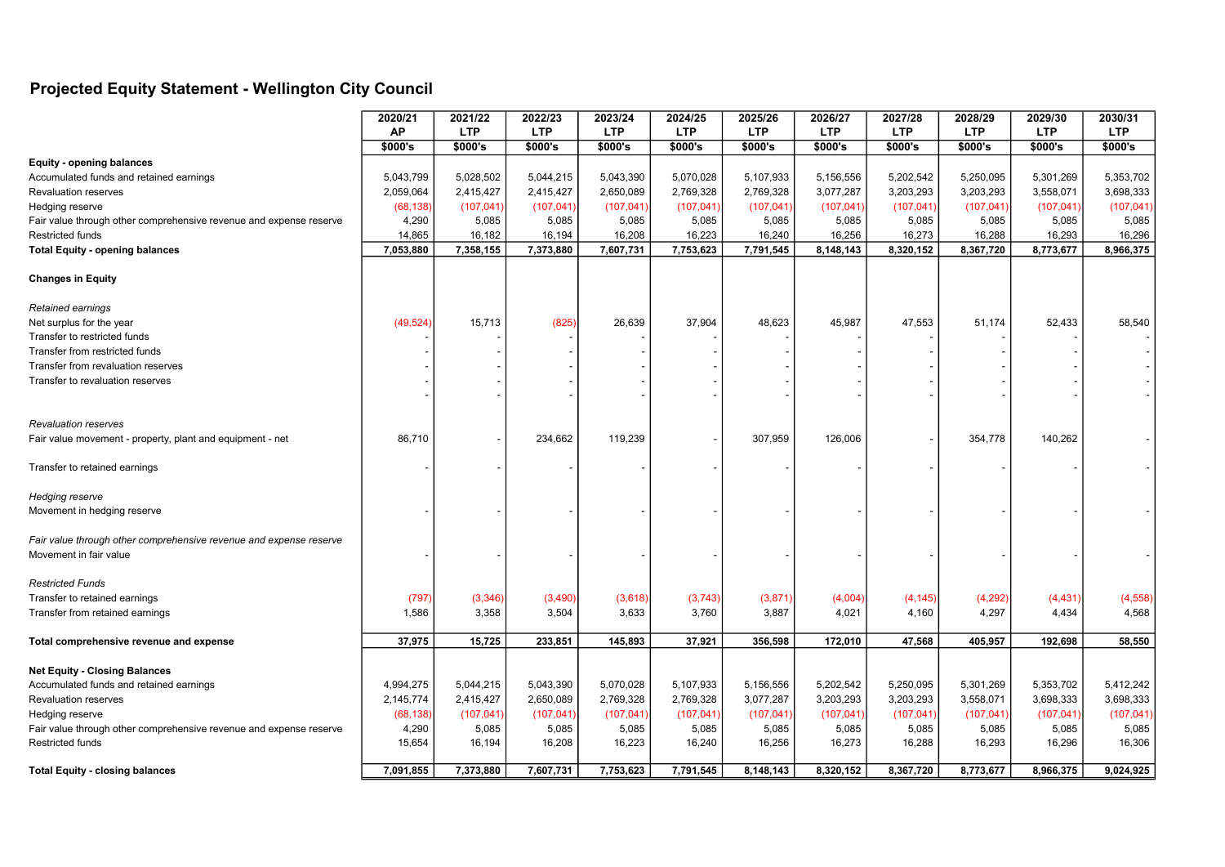## Projected Equity Statement - Wellington City Council

|                                                                    | 2020/21   | 2021/22    | 2022/23    | 2023/24    | 2024/25    | 2025/26    | 2026/27    | 2027/28    | 2028/29    | 2029/30    | 2030/31    |
|--------------------------------------------------------------------|-----------|------------|------------|------------|------------|------------|------------|------------|------------|------------|------------|
|                                                                    | <b>AP</b> | <b>LTP</b> | <b>LTP</b> | <b>LTP</b> | <b>LTP</b> | <b>LTP</b> | <b>LTP</b> | <b>LTP</b> | <b>LTP</b> | <b>LTP</b> | <b>LTP</b> |
|                                                                    | \$000's   | \$000's    | \$000's    | \$000's    | \$000's    | \$000's    | \$000's    | \$000's    | \$000's    | \$000's    | \$000's    |
| <b>Equity - opening balances</b>                                   |           |            |            |            |            |            |            |            |            |            |            |
| Accumulated funds and retained earnings                            | 5,043,799 | 5,028,502  | 5,044,215  | 5,043,390  | 5,070,028  | 5,107,933  | 5,156,556  | 5,202,542  | 5,250,095  | 5,301,269  | 5,353,702  |
| Revaluation reserves                                               | 2,059,064 | 2,415,427  | 2,415,427  | 2,650,089  | 2,769,328  | 2,769,328  | 3,077,287  | 3,203,293  | 3,203,293  | 3,558,071  | 3,698,333  |
| Hedging reserve                                                    | (68, 138) | (107, 041) | (107, 041) | (107, 041) | (107, 041) | (107, 041) | (107, 041) | (107, 041) | (107, 041) | (107, 041) | (107, 041) |
| Fair value through other comprehensive revenue and expense reserve | 4,290     | 5,085      | 5,085      | 5,085      | 5,085      | 5,085      | 5,085      | 5,085      | 5,085      | 5,085      | 5,085      |
| Restricted funds                                                   | 14,865    | 16,182     | 16,194     | 16,208     | 16,223     | 16,240     | 16,256     | 16,273     | 16,288     | 16,293     | 16,296     |
| <b>Total Equity - opening balances</b>                             | 7,053,880 | 7,358,155  | 7,373,880  | 7,607,731  | 7,753,623  | 7,791,545  | 8,148,143  | 8,320,152  | 8,367,720  | 8,773,677  | 8,966,375  |
| <b>Changes in Equity</b>                                           |           |            |            |            |            |            |            |            |            |            |            |
| Retained earnings                                                  |           |            |            |            |            |            |            |            |            |            |            |
| Net surplus for the year                                           | (49, 524) | 15,713     | (825)      | 26,639     | 37,904     | 48,623     | 45,987     | 47,553     | 51,174     | 52,433     | 58,540     |
| Transfer to restricted funds                                       |           |            |            |            |            |            |            |            |            |            |            |
| Transfer from restricted funds                                     |           |            |            |            |            |            |            |            |            |            |            |
| Transfer from revaluation reserves                                 |           |            |            |            |            |            |            |            |            |            |            |
| Transfer to revaluation reserves                                   |           |            |            |            |            |            |            |            |            |            |            |
|                                                                    |           |            |            |            |            |            |            |            |            |            |            |
| <b>Revaluation reserves</b>                                        |           |            |            |            |            |            |            |            |            |            |            |
| Fair value movement - property, plant and equipment - net          | 86,710    |            | 234,662    | 119,239    |            | 307,959    | 126,006    |            | 354,778    | 140,262    |            |
| Transfer to retained earnings                                      |           |            |            |            |            |            |            |            |            |            |            |
| Hedging reserve                                                    |           |            |            |            |            |            |            |            |            |            |            |
| Movement in hedging reserve                                        |           |            |            |            |            |            |            |            |            |            |            |
| Fair value through other comprehensive revenue and expense reserve |           |            |            |            |            |            |            |            |            |            |            |
| Movement in fair value                                             |           |            |            |            |            |            |            |            |            |            |            |
| <b>Restricted Funds</b>                                            |           |            |            |            |            |            |            |            |            |            |            |
| Transfer to retained earnings                                      | (797)     | (3, 346)   | (3,490)    | (3,618)    | (3,743)    | (3,871)    | (4,004)    | (4, 145)   | (4, 292)   | (4, 431)   | (4, 558)   |
| Transfer from retained earnings                                    | 1,586     | 3,358      | 3,504      | 3,633      | 3,760      | 3,887      | 4,021      | 4,160      | 4,297      | 4,434      | 4,568      |
| Total comprehensive revenue and expense                            | 37,975    | 15,725     | 233,851    | 145,893    | 37,921     | 356,598    | 172,010    | 47,568     | 405,957    | 192,698    | 58,550     |
| <b>Net Equity - Closing Balances</b>                               |           |            |            |            |            |            |            |            |            |            |            |
| Accumulated funds and retained earnings                            | 4,994,275 | 5,044,215  | 5,043,390  | 5,070,028  | 5,107,933  | 5,156,556  | 5,202,542  | 5,250,095  | 5,301,269  | 5,353,702  | 5,412,242  |
| <b>Revaluation reserves</b>                                        | 2,145,774 | 2,415,427  | 2,650,089  | 2,769,328  | 2,769,328  | 3,077,287  | 3,203,293  | 3,203,293  | 3,558,071  | 3,698,333  | 3,698,333  |
| Hedging reserve                                                    | (68, 138) | (107, 041) | (107, 041) | (107, 041) | (107, 041) | (107, 041) | (107, 041) | (107, 041) | (107, 041) | (107, 041) | (107, 041) |
| Fair value through other comprehensive revenue and expense reserve | 4,290     | 5,085      | 5,085      | 5,085      | 5,085      | 5,085      | 5,085      | 5,085      | 5,085      | 5,085      | 5,085      |
| Restricted funds                                                   | 15,654    | 16,194     | 16,208     | 16,223     | 16,240     | 16,256     | 16,273     | 16,288     | 16,293     | 16,296     | 16,306     |
| <b>Total Equity - closing balances</b>                             | 7,091,855 | 7,373,880  | 7,607,731  | 7,753,623  | 7,791,545  | 8,148,143  | 8.320.152  | 8,367,720  | 8,773,677  | 8,966,375  | 9,024,925  |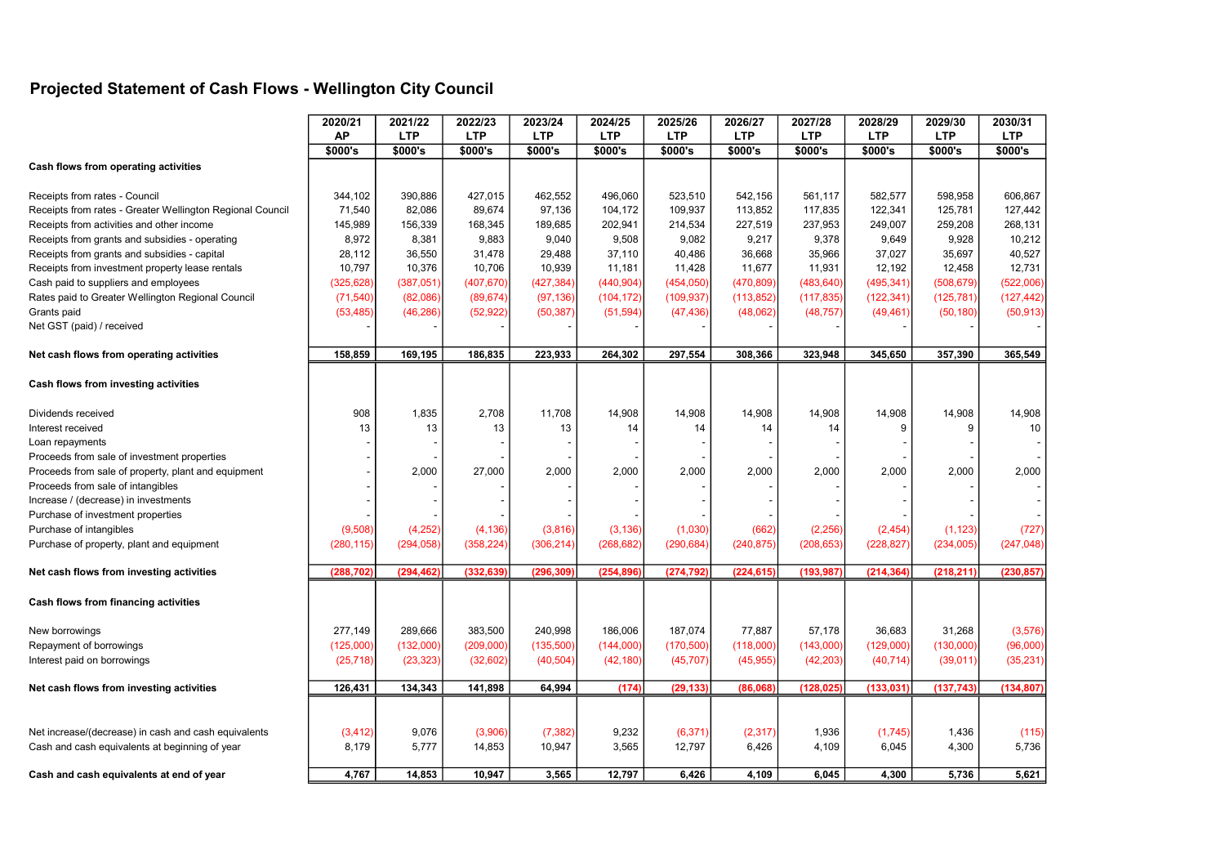## Projected Statement of Cash Flows - Wellington City Council

|                                                                                                        | 2020/21           | 2021/22           | 2022/23           | 2023/24           | 2024/25            | 2025/26            | 2026/27            | 2027/28            | 2028/29            | 2029/30            | 2030/31            |
|--------------------------------------------------------------------------------------------------------|-------------------|-------------------|-------------------|-------------------|--------------------|--------------------|--------------------|--------------------|--------------------|--------------------|--------------------|
|                                                                                                        | <b>AP</b>         | <b>LTP</b>        | <b>LTP</b>        | <b>LTP</b>        | <b>LTP</b>         | <b>LTP</b>         | <b>LTP</b>         | <b>LTP</b>         | <b>LTP</b>         | <b>LTP</b>         | <b>LTP</b>         |
|                                                                                                        | \$000's           | \$000's           | \$000's           | \$000's           | \$000's            | \$000's            | \$000's            | \$000's            | \$000's            | \$000's            | \$000's            |
| Cash flows from operating activities                                                                   |                   |                   |                   |                   |                    |                    |                    |                    |                    |                    |                    |
|                                                                                                        |                   |                   |                   |                   |                    |                    |                    |                    |                    |                    |                    |
| Receipts from rates - Council                                                                          | 344,102<br>71,540 | 390,886<br>82,086 | 427,015<br>89,674 | 462,552<br>97,136 | 496,060<br>104,172 | 523,510<br>109,937 | 542,156<br>113,852 | 561,117<br>117,835 | 582,577<br>122,341 | 598,958<br>125,781 | 606,867<br>127,442 |
| Receipts from rates - Greater Wellington Regional Council<br>Receipts from activities and other income | 145,989           | 156,339           | 168,345           |                   | 202,941            |                    | 227,519            | 237,953            | 249,007            | 259,208            | 268,131            |
| Receipts from grants and subsidies - operating                                                         | 8,972             | 8,381             | 9,883             | 189,685<br>9,040  | 9,508              | 214,534<br>9,082   | 9,217              | 9,378              | 9,649              | 9,928              | 10,212             |
| Receipts from grants and subsidies - capital                                                           | 28,112            | 36,550            | 31,478            | 29,488            | 37,110             | 40,486             | 36,668             | 35,966             | 37,027             | 35,697             | 40,527             |
| Receipts from investment property lease rentals                                                        | 10,797            | 10,376            | 10,706            | 10,939            | 11,181             | 11,428             | 11,677             | 11,931             | 12,192             | 12,458             | 12,731             |
|                                                                                                        |                   |                   |                   |                   |                    |                    |                    |                    | (495, 341)         | (508, 679)         | (522,006)          |
| Cash paid to suppliers and employees                                                                   | (325, 628)        | (387,051)         | (407, 670)        | (427, 384)        | (440, 904)         | (454, 050)         | (470, 809)         | (483, 640)         |                    |                    |                    |
| Rates paid to Greater Wellington Regional Council                                                      | (71, 540)         | (82,086)          | (89, 674)         | (97, 136)         | (104, 172)         | (109, 937)         | (113, 852)         | (117, 835)         | (122, 341)         | (125, 781)         | (127, 442)         |
| Grants paid                                                                                            | (53, 485)         | (46, 286)         | (52, 922)         | (50, 387)         | (51, 594)          | (47, 436)          | (48,062)           | (48, 757)          | (49, 461)          | (50, 180)          | (50, 913)          |
| Net GST (paid) / received                                                                              |                   |                   |                   |                   |                    |                    |                    |                    |                    |                    |                    |
| Net cash flows from operating activities                                                               | 158,859           | 169,195           | 186,835           | 223,933           | 264,302            | 297,554            | 308,366            | 323,948            | 345,650            | 357,390            | 365,549            |
| Cash flows from investing activities                                                                   |                   |                   |                   |                   |                    |                    |                    |                    |                    |                    |                    |
| Dividends received                                                                                     | 908               | 1,835             | 2,708             | 11,708            | 14,908             | 14,908             | 14,908             | 14,908             | 14,908             | 14,908             | 14,908             |
| Interest received                                                                                      | 13                | 13                | 13                | 13                | 14                 | 14                 | 14                 | 14                 | 9                  | 9                  | 10                 |
| Loan repayments                                                                                        |                   |                   |                   |                   |                    |                    |                    |                    |                    |                    |                    |
| Proceeds from sale of investment properties                                                            |                   |                   |                   |                   |                    |                    |                    |                    |                    |                    |                    |
| Proceeds from sale of property, plant and equipment                                                    |                   | 2,000             | 27,000            | 2,000             | 2,000              | 2,000              | 2,000              | 2,000              | 2,000              | 2,000              | 2,000              |
| Proceeds from sale of intangibles                                                                      |                   |                   |                   |                   |                    |                    |                    |                    |                    |                    |                    |
| Increase / (decrease) in investments                                                                   |                   |                   |                   |                   |                    |                    |                    |                    |                    |                    |                    |
| Purchase of investment properties                                                                      |                   |                   |                   |                   |                    |                    |                    |                    |                    |                    |                    |
| Purchase of intangibles                                                                                | (9,508)           | (4, 252)          | (4, 136)          | (3,816)           | (3, 136)           | (1,030)            | (662)              | (2, 256)           | (2, 454)           | (1, 123)           | (727)              |
| Purchase of property, plant and equipment                                                              | (280, 115)        | (294, 058)        | (358, 224)        | (306, 214)        | (268, 682)         | (290, 684)         | (240, 875)         | (208, 653)         | (228, 827)         | (234,005)          | (247, 048)         |
|                                                                                                        |                   |                   |                   |                   |                    |                    |                    |                    |                    |                    |                    |
| Net cash flows from investing activities                                                               | (288,702)         | (294, 462)        | (332, 639)        | (296, 309)        | (254, 896)         | (274, 792)         | (224, 615)         | (193, 987)         | (214, 364)         | (218, 211)         | (230, 857)         |
| Cash flows from financing activities                                                                   |                   |                   |                   |                   |                    |                    |                    |                    |                    |                    |                    |
| New borrowings                                                                                         | 277,149           | 289,666           | 383,500           | 240,998           | 186,006            | 187,074            | 77,887             | 57,178             | 36,683             | 31,268             | (3, 576)           |
| Repayment of borrowings                                                                                | (125,000)         | (132,000)         | (209,000)         | (135,500)         | (144,000)          | (170, 500)         | (118,000)          | (143,000)          | (129,000)          | (130,000)          | (96,000)           |
| Interest paid on borrowings                                                                            | (25, 718)         | (23, 323)         | (32,602)          | (40, 504)         | (42, 180)          | (45, 707)          | (45, 955)          | (42, 203)          | (40, 714)          | (39,011)           | (35, 231)          |
| Net cash flows from investing activities                                                               | 126,431           | 134,343           | 141,898           | 64,994            | (174)              | (29, 133)          | (86,068)           | (128, 025)         | (133, 031)         | (137, 743)         | (134, 807)         |
|                                                                                                        |                   |                   |                   |                   |                    |                    |                    |                    |                    |                    |                    |
| Net increase/(decrease) in cash and cash equivalents                                                   | (3, 412)          | 9,076             | (3,906)           | (7, 382)          | 9,232              | (6, 371)           | (2, 317)           | 1,936              | (1,745)            | 1,436              | (115)              |
| Cash and cash equivalents at beginning of year                                                         | 8,179             | 5,777             | 14,853            | 10,947            | 3,565              | 12,797             | 6,426              | 4,109              | 6,045              | 4,300              | 5,736              |
| Cash and cash equivalents at end of year                                                               | 4,767             | 14,853            | 10,947            | 3,565             | 12,797             | 6,426              | 4,109              | 6,045              | 4,300              | 5,736              | 5,621              |